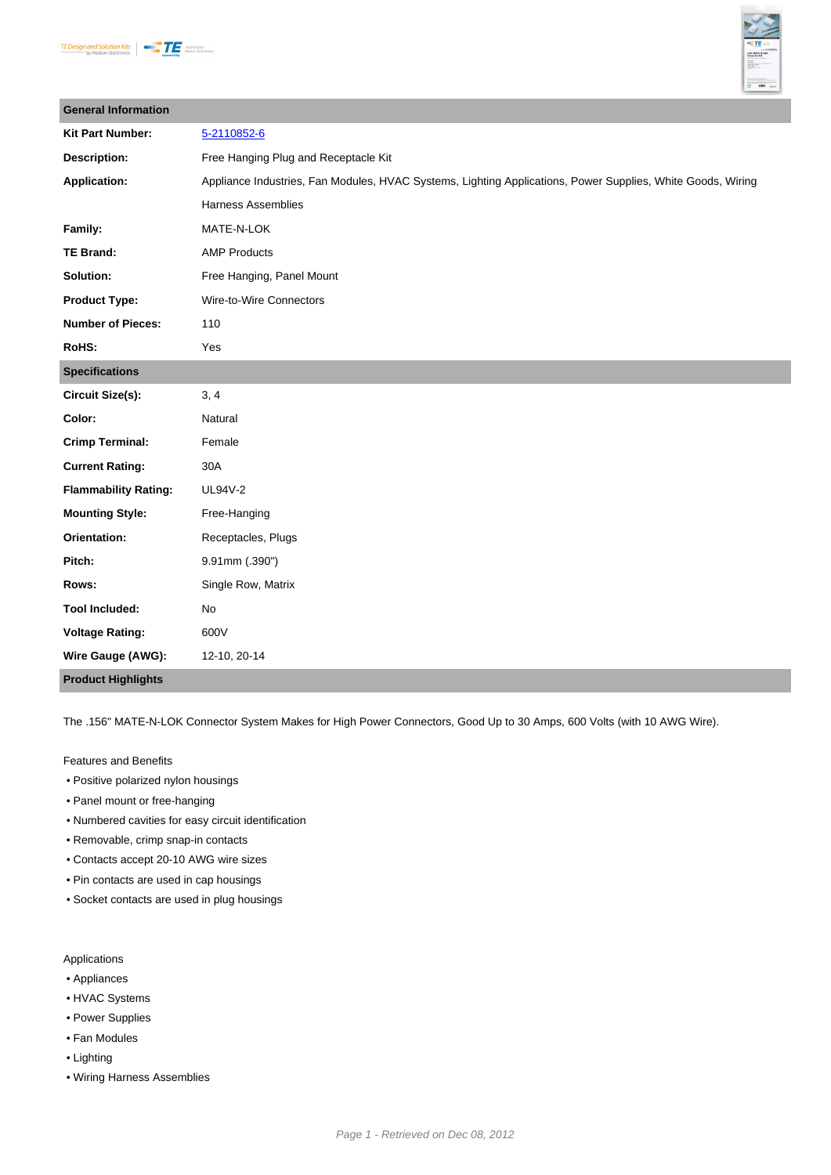| <b>General Information</b>  |                                                                                                             |  |  |  |
|-----------------------------|-------------------------------------------------------------------------------------------------------------|--|--|--|
| <b>Kit Part Number:</b>     | 5-2110852-6                                                                                                 |  |  |  |
| <b>Description:</b>         | Free Hanging Plug and Receptacle Kit                                                                        |  |  |  |
| <b>Application:</b>         | Appliance Industries, Fan Modules, HVAC Systems, Lighting Applications, Power Supplies, White Goods, Wiring |  |  |  |
|                             | <b>Harness Assemblies</b>                                                                                   |  |  |  |
| Family:                     | MATE-N-LOK                                                                                                  |  |  |  |
| <b>TE Brand:</b>            | <b>AMP Products</b>                                                                                         |  |  |  |
| Solution:                   | Free Hanging, Panel Mount                                                                                   |  |  |  |
| <b>Product Type:</b>        | Wire-to-Wire Connectors                                                                                     |  |  |  |
| <b>Number of Pieces:</b>    | 110                                                                                                         |  |  |  |
| RoHS:                       | Yes                                                                                                         |  |  |  |
| <b>Specifications</b>       |                                                                                                             |  |  |  |
| <b>Circuit Size(s):</b>     | 3, 4                                                                                                        |  |  |  |
| Color:                      | Natural                                                                                                     |  |  |  |
| <b>Crimp Terminal:</b>      | Female                                                                                                      |  |  |  |
| <b>Current Rating:</b>      | 30A                                                                                                         |  |  |  |
| <b>Flammability Rating:</b> | UL94V-2                                                                                                     |  |  |  |
| <b>Mounting Style:</b>      | Free-Hanging                                                                                                |  |  |  |
| Orientation:                | Receptacles, Plugs                                                                                          |  |  |  |
| Pitch:                      | 9.91mm (.390")                                                                                              |  |  |  |
| Rows:                       | Single Row, Matrix                                                                                          |  |  |  |
| <b>Tool Included:</b>       | No                                                                                                          |  |  |  |
| <b>Voltage Rating:</b>      | 600V                                                                                                        |  |  |  |
| Wire Gauge (AWG):           | 12-10, 20-14                                                                                                |  |  |  |
| <b>Product Highlights</b>   |                                                                                                             |  |  |  |

The .156" MATE-N-LOK Connector System Makes for High Power Connectors, Good Up to 30 Amps, 600 Volts (with 10 AWG Wire).

## Features and Benefits

- Positive polarized nylon housings
- Panel mount or free-hanging
- Numbered cavities for easy circuit identification
- Removable, crimp snap-in contacts
- Contacts accept 20-10 AWG wire sizes
- Pin contacts are used in cap housings
- Socket contacts are used in plug housings

Applications

- Appliances
- HVAC Systems
- Power Supplies
- Fan Modules
- Lighting
- Wiring Harness Assemblies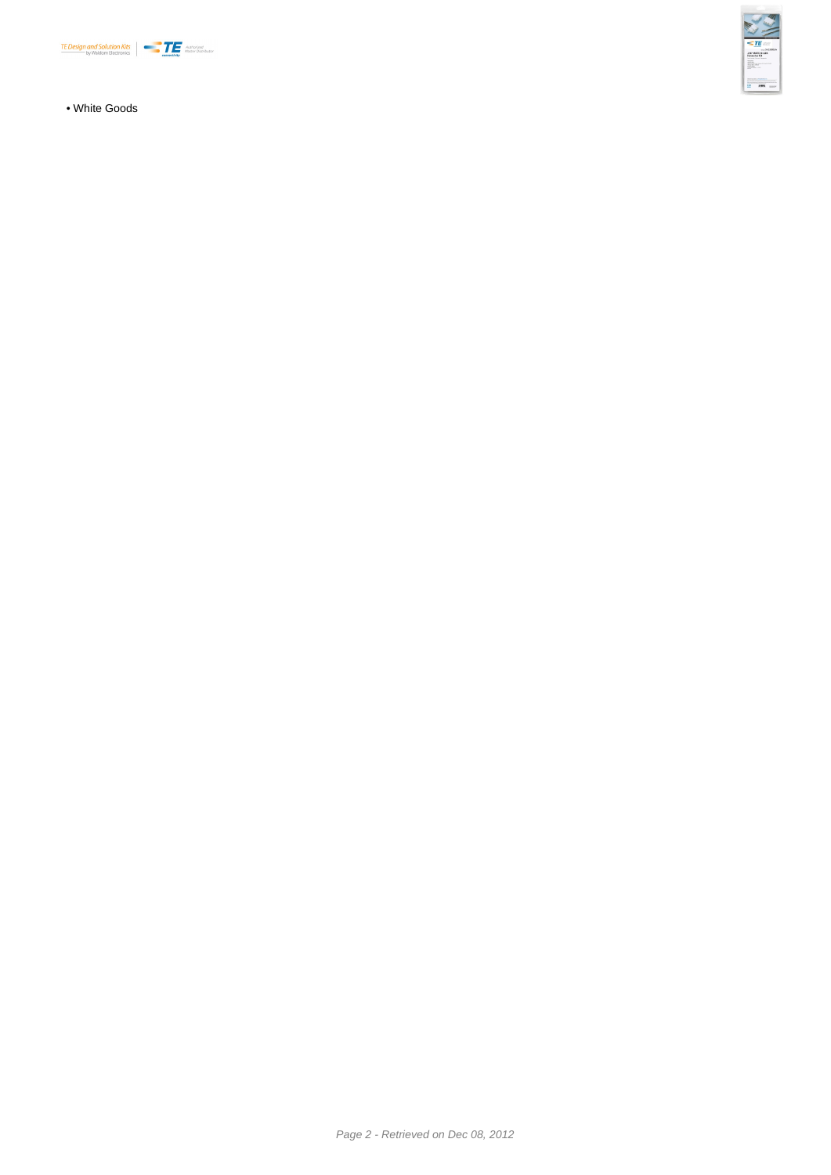[• White Goods](http://www.waldomkits.com/TE-Connectivity/)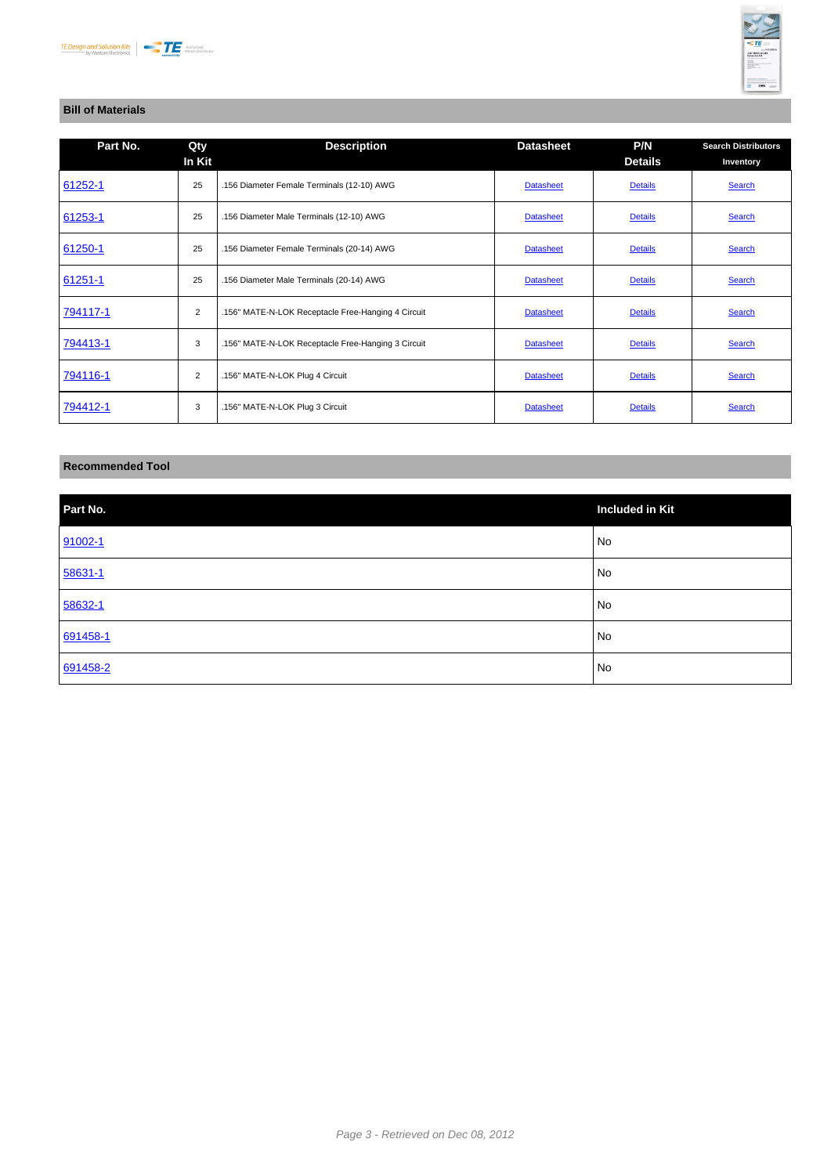## **[Bill of Materials](http://www.waldomkits.com/TE-Connectivity/)**

| Part No. | Qty<br>In Kit  | <b>Description</b>                                 | <b>Datasheet</b> | P/N<br><b>Details</b> | <b>Search Distributors</b><br>Inventory |
|----------|----------------|----------------------------------------------------|------------------|-----------------------|-----------------------------------------|
| 61252-1  | 25             | .156 Diameter Female Terminals (12-10) AWG         | <b>Datasheet</b> | <b>Details</b>        | Search                                  |
| 61253-1  | 25             | .156 Diameter Male Terminals (12-10) AWG           | <b>Datasheet</b> | <b>Details</b>        | <b>Search</b>                           |
| 61250-1  | 25             | .156 Diameter Female Terminals (20-14) AWG         | <b>Datasheet</b> | <b>Details</b>        | <b>Search</b>                           |
| 61251-1  | 25             | .156 Diameter Male Terminals (20-14) AWG           | <b>Datasheet</b> | <b>Details</b>        | Search                                  |
| 794117-1 | $\overline{2}$ | .156" MATE-N-LOK Receptacle Free-Hanging 4 Circuit | <b>Datasheet</b> | <b>Details</b>        | <b>Search</b>                           |
| 794413-1 | 3              | .156" MATE-N-LOK Receptacle Free-Hanging 3 Circuit | <b>Datasheet</b> | <b>Details</b>        | <b>Search</b>                           |
| 794116-1 | 2              | .156" MATE-N-LOK Plug 4 Circuit                    | <b>Datasheet</b> | <b>Details</b>        | <b>Search</b>                           |
| 794412-1 | 3              | .156" MATE-N-LOK Plug 3 Circuit                    | <b>Datasheet</b> | <b>Details</b>        | Search                                  |

## **[Recomm](http://www.teconnectivity.com/catalog/pn/en/794412-1?RQPN=794412-1)ended Tool**

| Part No. | <b>Included in Kit</b> |
|----------|------------------------|
| 91002-1  | No                     |
| 58631-1  | No                     |
| 58632-1  | No                     |
| 691458-1 | No                     |
| 691458-2 | No                     |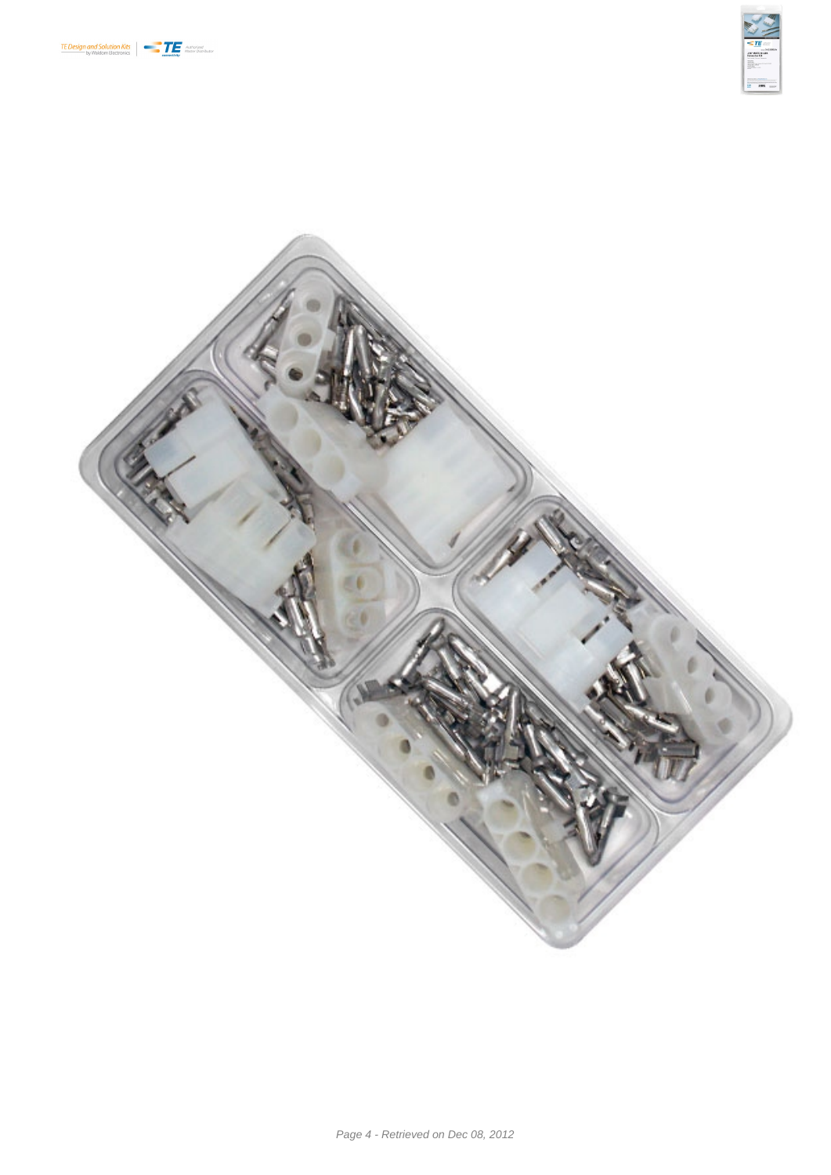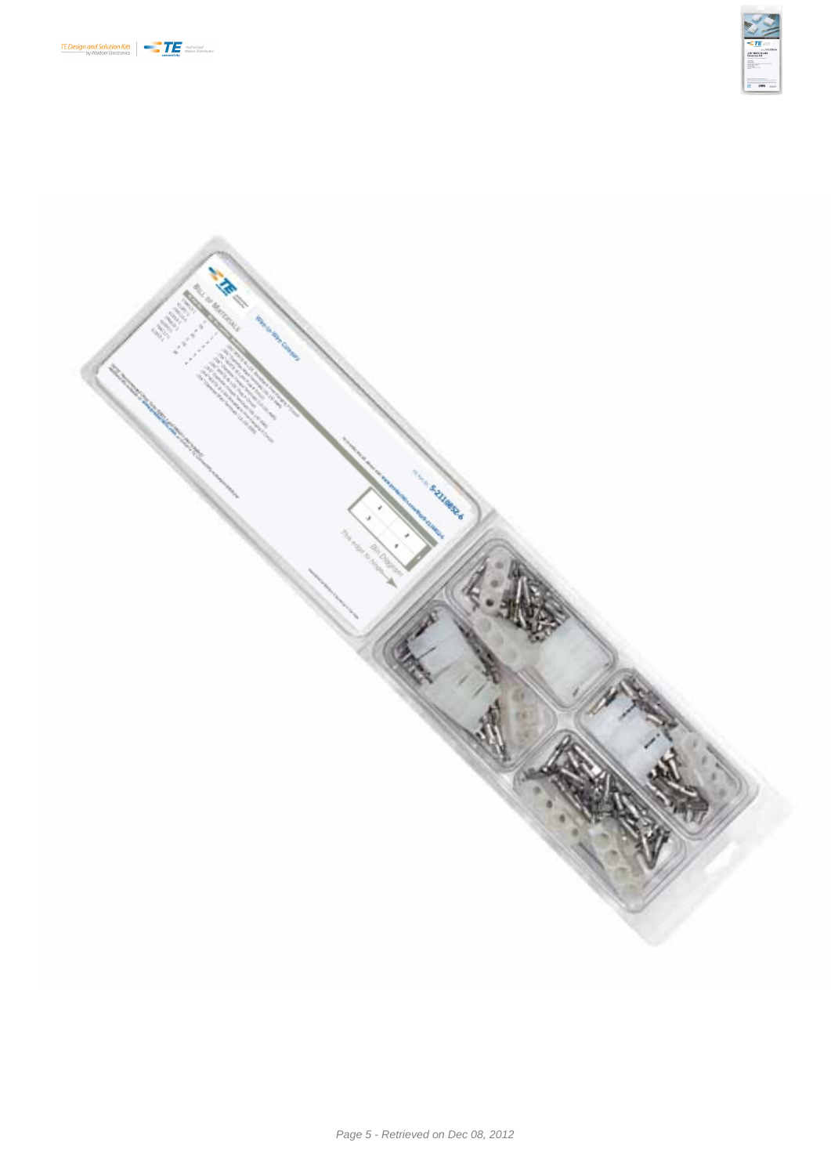